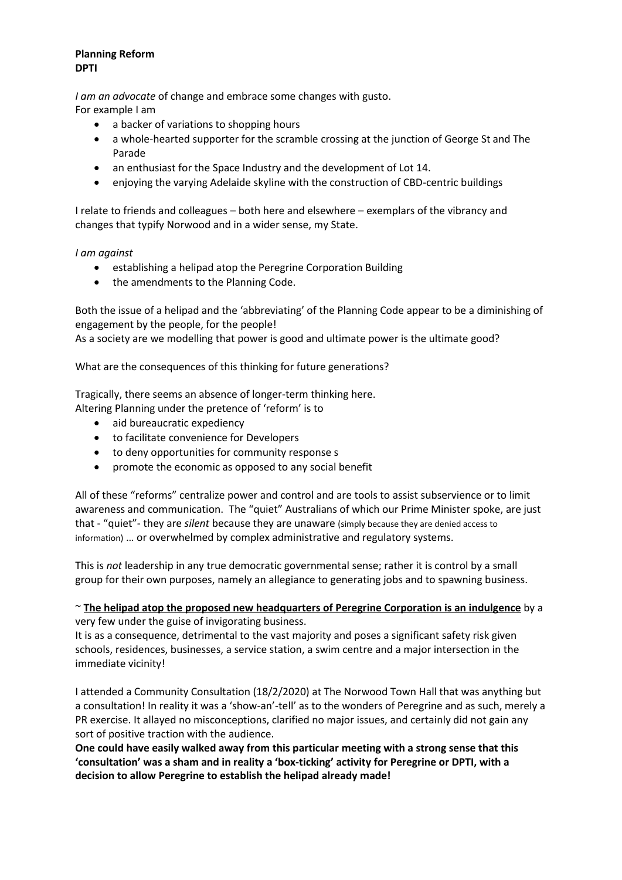#### **Planning Reform DPTI**

*I am an advocate* of change and embrace some changes with gusto. For example I am

- a backer of variations to shopping hours
- a whole-hearted supporter for the scramble crossing at the junction of George St and The Parade
- an enthusiast for the Space Industry and the development of Lot 14.
- enjoying the varying Adelaide skyline with the construction of CBD-centric buildings

I relate to friends and colleagues – both here and elsewhere – exemplars of the vibrancy and changes that typify Norwood and in a wider sense, my State.

#### *I am against*

- establishing a helipad atop the Peregrine Corporation Building
- the amendments to the Planning Code.

Both the issue of a helipad and the 'abbreviating' of the Planning Code appear to be a diminishing of engagement by the people, for the people!

As a society are we modelling that power is good and ultimate power is the ultimate good?

What are the consequences of this thinking for future generations?

Tragically, there seems an absence of longer-term thinking here. Altering Planning under the pretence of 'reform' is to

- aid bureaucratic expediency
- to facilitate convenience for Developers
- to deny opportunities for community response s
- promote the economic as opposed to any social benefit

All of these "reforms" centralize power and control and are tools to assist subservience or to limit awareness and communication. The "quiet" Australians of which our Prime Minister spoke, are just that - "quiet"- they are *silent* because they are unaware (simply because they are denied access to information) … or overwhelmed by complex administrative and regulatory systems.

This is *not* leadership in any true democratic governmental sense; rather it is control by a small group for their own purposes, namely an allegiance to generating jobs and to spawning business.

#### ~ **The helipad atop the proposed new headquarters of Peregrine Corporation is an indulgence** by a very few under the guise of invigorating business.

It is as a consequence, detrimental to the vast majority and poses a significant safety risk given schools, residences, businesses, a service station, a swim centre and a major intersection in the immediate vicinity!

I attended a Community Consultation (18/2/2020) at The Norwood Town Hall that was anything but a consultation! In reality it was a 'show-an'-tell' as to the wonders of Peregrine and as such, merely a PR exercise. It allayed no misconceptions, clarified no major issues, and certainly did not gain any sort of positive traction with the audience.

**One could have easily walked away from this particular meeting with a strong sense that this 'consultation' was a sham and in reality a 'box-ticking' activity for Peregrine or DPTI, with a decision to allow Peregrine to establish the helipad already made!**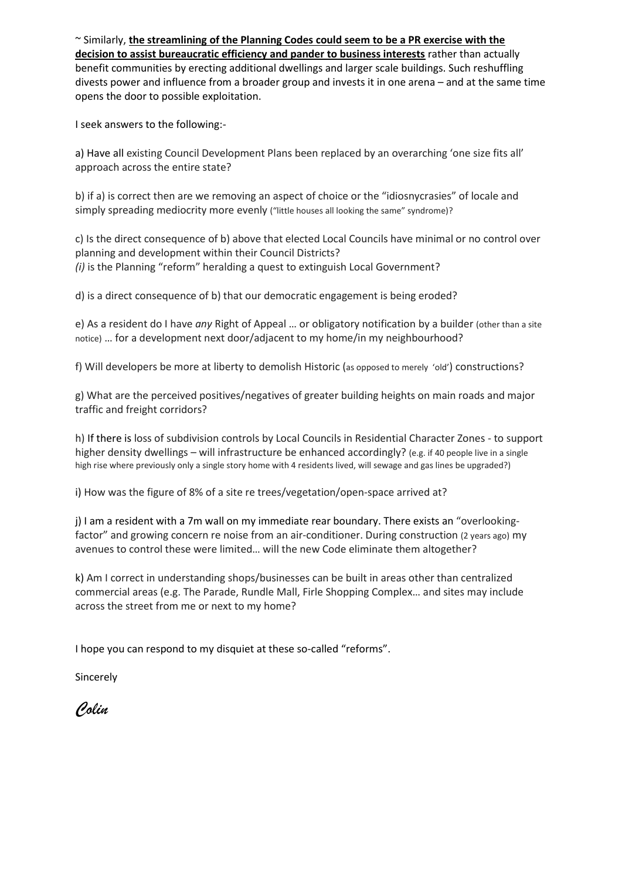~ Similarly, **the streamlining of the Planning Codes could seem to be a PR exercise with the decision to assist bureaucratic efficiency and pander to business interests** rather than actually benefit communities by erecting additional dwellings and larger scale buildings. Such reshuffling divests power and influence from a broader group and invests it in one arena – and at the same time opens the door to possible exploitation.

I seek answers to the following:-

a) Have all existing Council Development Plans been replaced by an overarching 'one size fits all' approach across the entire state?

b) if a) is correct then are we removing an aspect of choice or the "idiosnycrasies" of locale and simply spreading mediocrity more evenly ("little houses all looking the same" syndrome)?

c) Is the direct consequence of b) above that elected Local Councils have minimal or no control over planning and development within their Council Districts? *(i)* is the Planning "reform" heralding a quest to extinguish Local Government?

d) is a direct consequence of b) that our democratic engagement is being eroded?

e) As a resident do I have *any* Right of Appeal … or obligatory notification by a builder (other than a site notice) … for a development next door/adjacent to my home/in my neighbourhood?

f) Will developers be more at liberty to demolish Historic (as opposed to merely 'old') constructions?

g) What are the perceived positives/negatives of greater building heights on main roads and major traffic and freight corridors?

h) If there is loss of subdivision controls by Local Councils in Residential Character Zones - to support higher density dwellings – will infrastructure be enhanced accordingly? (e.g. if 40 people live in a single high rise where previously only a single story home with 4 residents lived, will sewage and gas lines be upgraded?)

i) How was the figure of 8% of a site re trees/vegetation/open-space arrived at?

j) I am a resident with a 7m wall on my immediate rear boundary. There exists an "overlookingfactor" and growing concern re noise from an air-conditioner. During construction (2 years ago) my avenues to control these were limited… will the new Code eliminate them altogether?

k) Am I correct in understanding shops/businesses can be built in areas other than centralized commercial areas (e.g. The Parade, Rundle Mall, Firle Shopping Complex… and sites may include across the street from me or next to my home?

I hope you can respond to my disquiet at these so-called "reforms".

Sincerely

*Colin*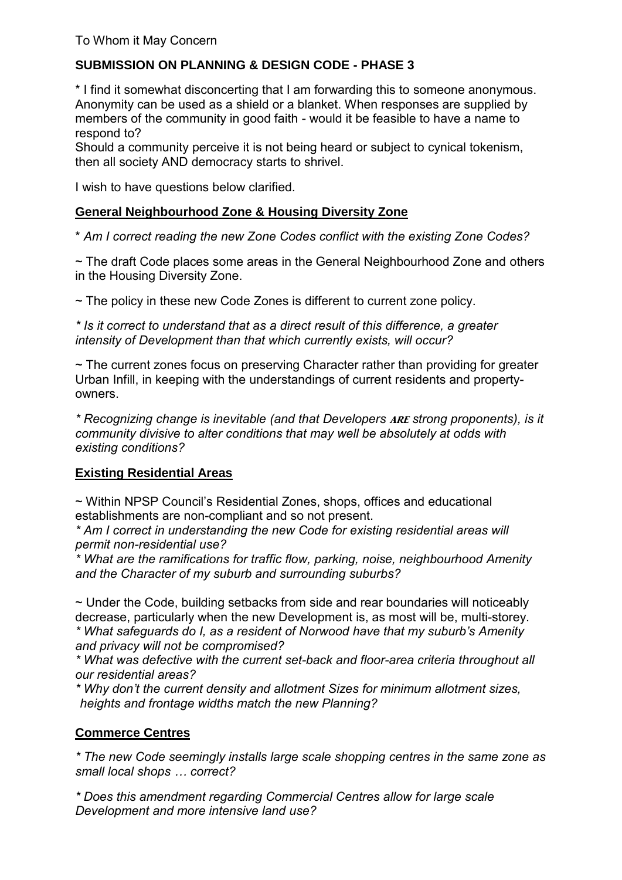# **SUBMISSION ON PLANNING & DESIGN CODE - PHASE 3**

\* I find it somewhat disconcerting that I am forwarding this to someone anonymous. Anonymity can be used as a shield or a blanket. When responses are supplied by members of the community in good faith - would it be feasible to have a name to respond to?

Should a community perceive it is not being heard or subject to cynical tokenism, then all society AND democracy starts to shrivel.

I wish to have questions below clarified.

## **General Neighbourhood Zone & Housing Diversity Zone**

\* *Am I correct reading the new Zone Codes conflict with the existing Zone Codes?*

~ The draft Code places some areas in the General Neighbourhood Zone and others in the Housing Diversity Zone.

~ The policy in these new Code Zones is different to current zone policy.

*\* Is it correct to understand that as a direct result of this difference, a greater intensity of Development than that which currently exists, will occur?* 

~ The current zones focus on preserving Character rather than providing for greater Urban Infill, in keeping with the understandings of current residents and propertyowners.

*\* Recognizing change is inevitable (and that Developers* are *strong proponents), is it community divisive to alter conditions that may well be absolutely at odds with existing conditions?* 

## **Existing Residential Areas**

~ Within NPSP Council's Residential Zones, shops, offices and educational establishments are non-compliant and so not present.

*\* Am I correct in understanding the new Code for existing residential areas will permit non-residential use?* 

*\* What are the ramifications for traffic flow, parking, noise, neighbourhood Amenity and the Character of my suburb and surrounding suburbs?* 

~ Under the Code, building setbacks from side and rear boundaries will noticeably decrease, particularly when the new Development is, as most will be, multi-storey. *\* What safeguards do I, as a resident of Norwood have that my suburb's Amenity and privacy will not be compromised?*

*\* What was defective with the current set-back and floor-area criteria throughout all our residential areas?*

*\* Why don't the current density and allotment Sizes for minimum allotment sizes, heights and frontage widths match the new Planning?*

# **Commerce Centres**

*\* The new Code seemingly installs large scale shopping centres in the same zone as small local shops … correct?* 

*\* Does this amendment regarding Commercial Centres allow for large scale Development and more intensive land use?*